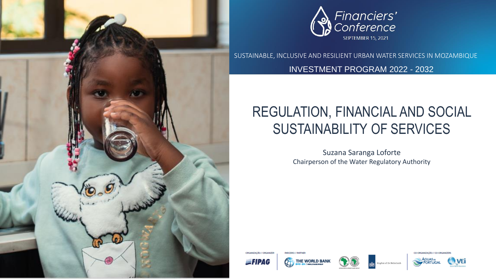



SUSTAINABLE, INCLUSIVE AND RESILIENT URBAN WATER SERVICES IN MOZAMBIQUE

INVESTMENT PROGRAM 2022 - 2032

# REGULATION, FINANCIAL AND SOCIAL SUSTAINABILITY OF SERVICES

Suzana Saranga Loforte Chairperson of the Water Regulatory Authority

ORGANIZACÃO / ORGANIZER  $=$ FIPAG



*DARCEROS / DARCARD* 



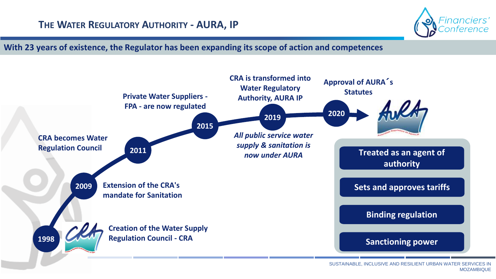

**With 23 years of existence, the Regulator has been expanding its scope of action and competences** 

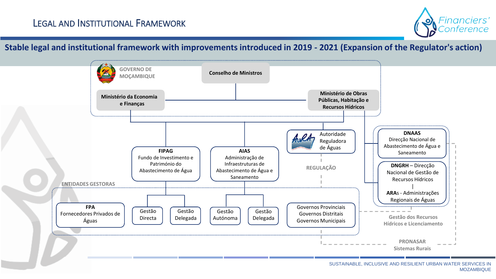

### **Stable legal and institutional framework with improvements introduced in 2019 - 2021 (Expansion of the Regulator's action)**

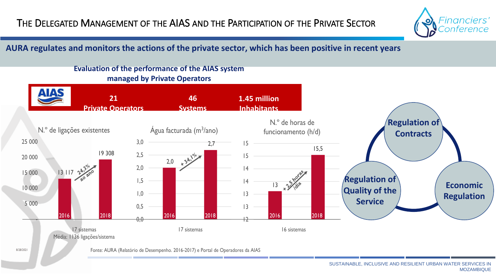

## **AURA regulates and monitors the actions of the private sector, which has been positive in recent years**



#### SUSTAINABLE, INCLUSIVE AND RESILIENT URBAN WATER SERVICES IN MOZAMBIQUE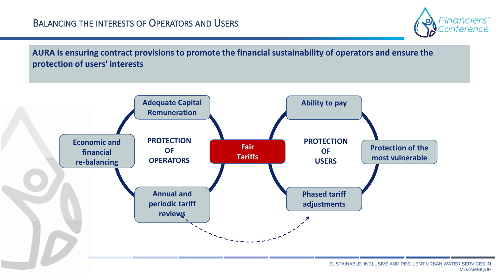

**AURA is ensuring contract provisions to promote the financial sustainability of operators and ensure the protection of users' interests** 

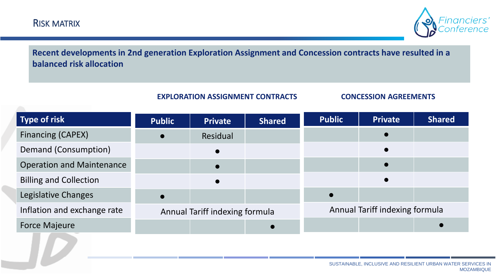

**Recent developments in 2nd generation Exploration Assignment and Concession contracts have resulted in a balanced risk allocation**

#### **EXPLORATION ASSIGNMENT CONTRACTS CONCESSION AGREEMENTS**

| <b>Type of risk</b>              | <b>Public</b>                  | <b>Private</b> | <b>Shared</b> | <b>Public</b>                  | <b>Private</b> | <b>Shared</b> |
|----------------------------------|--------------------------------|----------------|---------------|--------------------------------|----------------|---------------|
| <b>Financing (CAPEX)</b>         |                                | Residual       |               |                                |                |               |
| Demand (Consumption)             |                                |                |               |                                |                |               |
| <b>Operation and Maintenance</b> |                                |                |               |                                |                |               |
| <b>Billing and Collection</b>    |                                |                |               |                                |                |               |
| Legislative Changes              |                                |                |               |                                |                |               |
| Inflation and exchange rate      | Annual Tariff indexing formula |                |               | Annual Tariff indexing formula |                |               |
| <b>Force Majeure</b>             |                                |                |               |                                |                |               |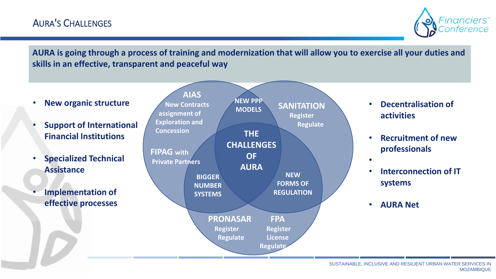

**AURA is going through a process of training and modernization that will allow you to exercise all your duties and skills in an effective, transparent and peaceful way** 

**THE CHALLENGES OF AURA AIAS New Contracts assignment of Exploration and Concession NEW PPP MODELS FIPAG with Private Partners BIGGER NUMBER SYSTEMS NEW FORMS OF REGULATION PRONASAR FPA Register Register Regulate License Regulate SANITATION Register Regulate** • **New organic structure** • **Support of International Financial Institutions** • **Specialized Technical Assistance** • **Implementation of effective processes** • **Decentralisation of activities** • **Recruitment of new professionals** • • **Interconnection of IT systems** • **AURA Net**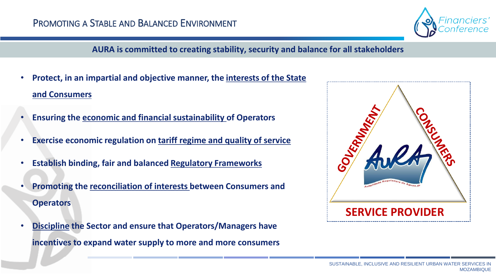

### **AURA is committed to creating stability, security and balance for all stakeholders**

- **Protect, in an impartial and objective manner, the interests of the State and Consumers**
- **Ensuring the economic and financial sustainability of Operators**
- **Exercise economic regulation on tariff regime and quality of service**
- **Establish binding, fair and balanced Regulatory Frameworks**
- **Promoting the reconciliation of interests between Consumers and Operators**
- **Discipline the Sector and ensure that Operators/Managers have incentives to expand water supply to more and more consumers**

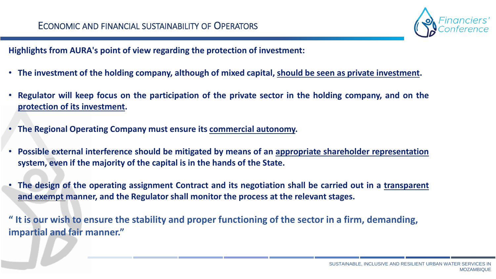

**Highlights from AURA's point of view regarding the protection of investment:**

- **The investment of the holding company, although of mixed capital, should be seen as private investment.**
- Regulator will keep focus on the participation of the private sector in the holding company, and on the **protection of its investment.**
- **The Regional Operating Company must ensure its commercial autonomy.**
- **Possible external interference should be mitigated by means of an appropriate shareholder representation system, even if the majority of the capital is in the hands of the State.**
- The design of the operating assignment Contract and its negotiation shall be carried out in a transparent **and exempt manner, and the Regulator shall monitor the process at the relevant stages.**

**" It is our wish to ensure the stability and proper functioning of the sector in a firm, demanding, impartial and fair manner."**